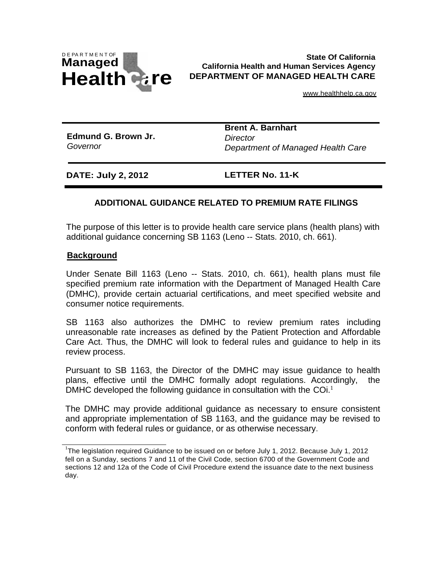

#### **State Of California California Health and Human Services Agency DEPARTMENT OF MANAGED HEALTH CARE**

[www.healthhelp.ca.gov](http://www.healthhelp.ca.gov/)

**Edmund G. Brown Jr.** *Governor*

**Brent A. Barnhart** *Director Department of Managed Health Care*

**DATE: July 2, 2012 LETTER No. 11-K** 

# **ADDITIONAL GUIDANCE RELATED TO PREMIUM RATE FILINGS**

The purpose of this letter is to provide health care service plans (health plans) with additional guidance concerning SB 1163 (Leno -- Stats. 2010, ch. 661).

### **Background**

Under Senate Bill 1163 (Leno -- Stats. 2010, ch. 661), health plans must file specified premium rate information with the Department of Managed Health Care (DMHC), provide certain actuarial certifications, and meet specified website and consumer notice requirements.

SB 1163 also authorizes the DMHC to review premium rates including unreasonable rate increases as defined by the Patient Protection and Affordable Care Act. Thus, the DMHC will look to federal rules and guidance to help in its review process.

Pursuant to SB 1163, the Director of the DMHC may issue guidance to health plans, effective until the DMHC formally adopt regulations. Accordingly, the DMHC developed the following guidance in consultation with the COi. $<sup>1</sup>$ </sup>

The DMHC may provide additional guidance as necessary to ensure consistent and appropriate implementation of SB 1163, and the guidance may be revised to conform with federal rules or guidance, or as otherwise necessary.

<sup>&</sup>lt;sup>1</sup>The legislation required Guidance to be issued on or before July 1, 2012. Because July 1, 2012 fell on a Sunday, sections 7 and 11 of the Civil Code, section 6700 of the Government Code and sections 12 and 12a of the Code of Civil Procedure extend the issuance date to the next business day.